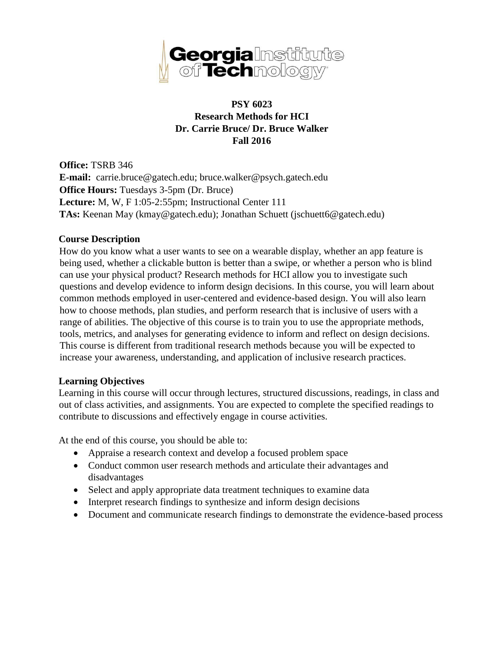

# **PSY 6023 Research Methods for HCI Dr. Carrie Bruce/ Dr. Bruce Walker Fall 2016**

**Office:** TSRB 346 **E-mail:** carrie.bruce@gatech.edu; bruce.walker@psych.gatech.edu **Office Hours:** Tuesdays 3-5pm (Dr. Bruce) **Lecture:** M, W, F 1:05-2:55pm; Instructional Center 111 **TAs:** Keenan May (kmay@gatech.edu); Jonathan Schuett (jschuett6@gatech.edu)

#### **Course Description**

How do you know what a user wants to see on a wearable display, whether an app feature is being used, whether a clickable button is better than a swipe, or whether a person who is blind can use your physical product? Research methods for HCI allow you to investigate such questions and develop evidence to inform design decisions. In this course, you will learn about common methods employed in user-centered and evidence-based design. You will also learn how to choose methods, plan studies, and perform research that is inclusive of users with a range of abilities. The objective of this course is to train you to use the appropriate methods, tools, metrics, and analyses for generating evidence to inform and reflect on design decisions. This course is different from traditional research methods because you will be expected to increase your awareness, understanding, and application of inclusive research practices.

#### **Learning Objectives**

Learning in this course will occur through lectures, structured discussions, readings, in class and out of class activities, and assignments. You are expected to complete the specified readings to contribute to discussions and effectively engage in course activities.

At the end of this course, you should be able to:

- Appraise a research context and develop a focused problem space
- Conduct common user research methods and articulate their advantages and disadvantages
- Select and apply appropriate data treatment techniques to examine data
- Interpret research findings to synthesize and inform design decisions
- Document and communicate research findings to demonstrate the evidence-based process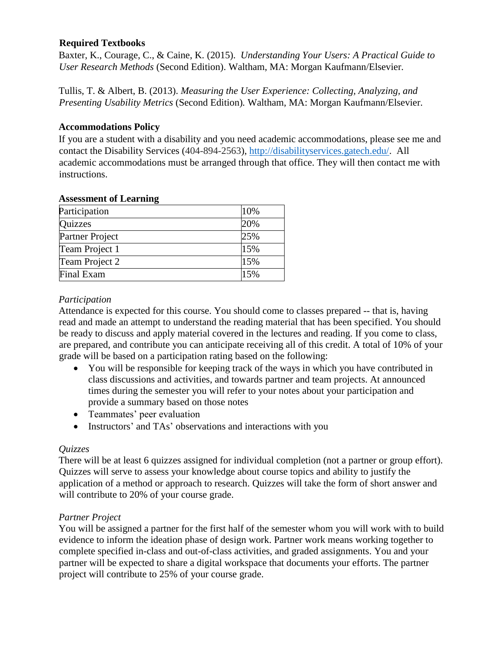### **Required Textbooks**

Baxter, K., Courage, C., & Caine, K. (2015). *Understanding Your Users: A Practical Guide to User Research Methods* (Second Edition). Waltham, MA: Morgan Kaufmann/Elsevier.

Tullis, T. & Albert, B. (2013). *Measuring the User Experience: Collecting, Analyzing, and Presenting Usability Metrics* (Second Edition)*.* Waltham, MA: Morgan Kaufmann/Elsevier.

#### **Accommodations Policy**

If you are a student with a disability and you need academic accommodations, please see me and contact the Disability Services (404-894-2563), [http://disabilityservices.gatech.edu/.](http://disabilityservices.gatech.edu/) All academic accommodations must be arranged through that office. They will then contact me with instructions.

| Participation          | 10% |  |
|------------------------|-----|--|
| Quizzes                | 20% |  |
| <b>Partner Project</b> | 25% |  |
| Team Project 1         | 15% |  |
| Team Project 2         | 15% |  |
| Final Exam             | 15% |  |

#### **Assessment of Learning**

### *Participation*

Attendance is expected for this course. You should come to classes prepared -- that is, having read and made an attempt to understand the reading material that has been specified. You should be ready to discuss and apply material covered in the lectures and reading. If you come to class, are prepared, and contribute you can anticipate receiving all of this credit. A total of 10% of your grade will be based on a participation rating based on the following:

- You will be responsible for keeping track of the ways in which you have contributed in class discussions and activities, and towards partner and team projects. At announced times during the semester you will refer to your notes about your participation and provide a summary based on those notes
- Teammates' peer evaluation
- Instructors' and TAs' observations and interactions with you

### *Quizzes*

There will be at least 6 quizzes assigned for individual completion (not a partner or group effort). Quizzes will serve to assess your knowledge about course topics and ability to justify the application of a method or approach to research. Quizzes will take the form of short answer and will contribute to 20% of your course grade.

### *Partner Project*

You will be assigned a partner for the first half of the semester whom you will work with to build evidence to inform the ideation phase of design work. Partner work means working together to complete specified in-class and out-of-class activities, and graded assignments. You and your partner will be expected to share a digital workspace that documents your efforts. The partner project will contribute to 25% of your course grade.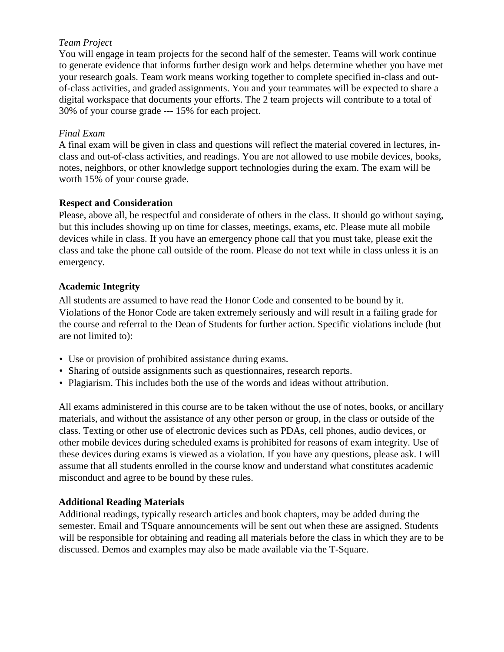### *Team Project*

You will engage in team projects for the second half of the semester. Teams will work continue to generate evidence that informs further design work and helps determine whether you have met your research goals. Team work means working together to complete specified in-class and outof-class activities, and graded assignments. You and your teammates will be expected to share a digital workspace that documents your efforts. The 2 team projects will contribute to a total of 30% of your course grade --- 15% for each project.

### *Final Exam*

A final exam will be given in class and questions will reflect the material covered in lectures, inclass and out-of-class activities, and readings. You are not allowed to use mobile devices, books, notes, neighbors, or other knowledge support technologies during the exam. The exam will be worth 15% of your course grade.

## **Respect and Consideration**

Please, above all, be respectful and considerate of others in the class. It should go without saying, but this includes showing up on time for classes, meetings, exams, etc. Please mute all mobile devices while in class. If you have an emergency phone call that you must take, please exit the class and take the phone call outside of the room. Please do not text while in class unless it is an emergency.

## **Academic Integrity**

All students are assumed to have read the Honor Code and consented to be bound by it. Violations of the Honor Code are taken extremely seriously and will result in a failing grade for the course and referral to the Dean of Students for further action. Specific violations include (but are not limited to):

- Use or provision of prohibited assistance during exams.
- Sharing of outside assignments such as questionnaires, research reports.
- Plagiarism. This includes both the use of the words and ideas without attribution.

All exams administered in this course are to be taken without the use of notes, books, or ancillary materials, and without the assistance of any other person or group, in the class or outside of the class. Texting or other use of electronic devices such as PDAs, cell phones, audio devices, or other mobile devices during scheduled exams is prohibited for reasons of exam integrity. Use of these devices during exams is viewed as a violation. If you have any questions, please ask. I will assume that all students enrolled in the course know and understand what constitutes academic misconduct and agree to be bound by these rules.

# **Additional Reading Materials**

Additional readings, typically research articles and book chapters, may be added during the semester. Email and TSquare announcements will be sent out when these are assigned. Students will be responsible for obtaining and reading all materials before the class in which they are to be discussed. Demos and examples may also be made available via the T-Square.